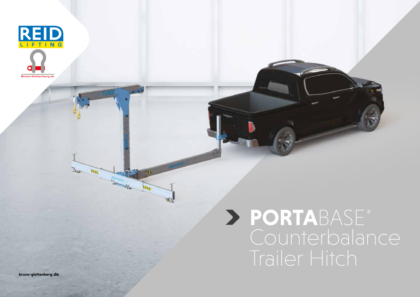

# **PORTA**BASE Counterbalance Trailer Hitch

**bruno-glettenberg**.de

W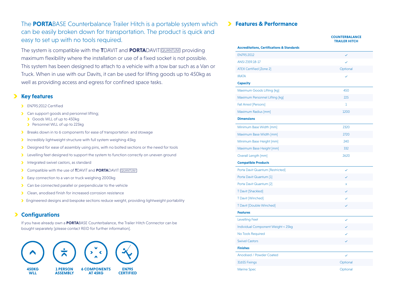The **PORTA**BASE Counterbalance Trailer Hitch is a portable system which can be easily broken down for transportation. The product is quick and easy to set up with no tools required.

The system is compatible with the **T**DAVIT and **PORTA**DAVIT QUANTUM providing maximum flexibility where the installation or use of a fixed socket is not possible. This system has been designed to attach to a vehicle with a tow bar such as a Van or Truck. When in use with our Davits, it can be used for lifting goods up to 450kg as well as providing access and egress for confined space tasks.

### **Key features**

- EN795:2012 Certified
- **Can support goods and personnel lifting;** 
	- Goods WLL of up to 450kg
	- Personnel WLL of up to 225kg
- Breaks down in to 6 components for ease of transportation and stowage
- Incredibly lightweight structure with full system weighing 45kg
- Designed for ease of assembly using pins, with no bolted sections or the need for tools
- **>** Levelling feet designed to support the system to function correctly on uneven ground
- Integrated swivel castors, as standard
- Compatible with the use of TDAVIT and **PORTA**DAVIT **QUANTUM**
- **Easy connection to a van or truck weighing 2000kg**
- **Can be connected parallel or perpendicular to the vehicle**
- Clean, anodised finish for increased corrosion resistance
- Engineered designs and bespoke sections reduce weight, providing lightweight portability

#### **Configurations** ⋗

If you have already own a **PORTA**BASE Counterbalance, the Trailer Hitch Connector can be bought separately [please contact REID for further information].



#### **Features & Performance**

|                                                       | <b>TRAILER HITCH</b> |
|-------------------------------------------------------|----------------------|
| <b>Accreditations, Certifications &amp; Standards</b> |                      |
| EN795:2012                                            | $\checkmark$         |
| ANSI Z359.18-17                                       |                      |
| <b>ATEX Certified [Zone 2]</b>                        | Optional             |
| <b>IRATA</b>                                          |                      |
| <b>Capacity</b>                                       |                      |
| Maximum Goods Lifting [kg]                            | 450                  |
| Maximum Personnel Lifting [kg]                        | 225                  |
| Fall Arrest [Persons]                                 | 1                    |
| Maximum Radius [mm]                                   | 1200                 |
| <b>Dimensions</b>                                     |                      |
| Minimum Base Width [mm]                               | 2320                 |
| Maximum Base Width [mm]                               | 2720                 |
| Minimum Base Height [mm]                              | 240                  |
| Maximum Base Height [mm]                              | 332                  |
| Overall Length [mm]                                   | 2620                 |
| <b>Compatible Products</b>                            |                      |
| Porta Davit Quantum [Restricted]                      | $\checkmark$         |
| Porta Davit Quantum [1]                               |                      |
| Porta Davit Quantum [2]                               | X                    |
| <b>T Davit [Shackled]</b>                             |                      |
| T Davit [Winched]                                     | $\checkmark$         |
| T Davit [Double Winched]                              |                      |
| <b>Features</b>                                       |                      |
| Levelling Feet                                        | $\checkmark$         |
| Individual Component Weight < 25kg                    |                      |
| No Tools Required                                     |                      |
| <b>Swivel Castors</b>                                 |                      |
| <b>Finishes</b>                                       |                      |
| Anodised / Powder Coated                              | $\checkmark$         |
| <b>316SS Fixings</b>                                  | Optional             |
| <b>Marine Spec</b>                                    | Optional             |

**COUNTERBALANCE**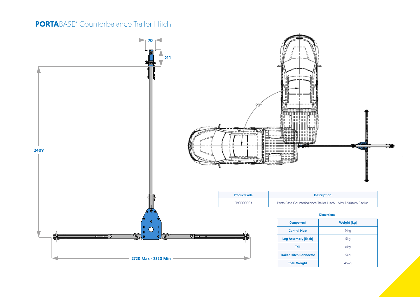## **PORTA**BASE<sup>®</sup> Counterbalance Trailer Hitch